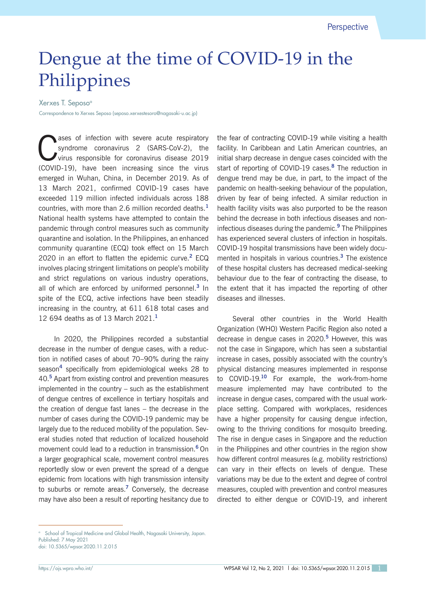## Dengue at the time of COVID-19 in the Philippines

## Xerxes T. Seposo<sup>a</sup>

Correspondence to Xerxes Seposo (seposo.xerxestesoro@nagasaki-u.ac.jp)

Superior asses of infection with severe acute respiratory<br>
syndrome coronavirus 2 (SARS-CoV-2), the<br>
virus responsible for coronavirus disease 2019 syndrome coronavirus 2 (SARS-CoV-2), the virus responsible for coronavirus disease 2019 (COVID-19), have been increasing since the virus emerged in Wuhan, China, in December 2019. As of 13 March 2021, confirmed COVID-19 cases have exceeded 119 million infected individuals across 188 countries, with more than 2.6 million recorded deaths.**<sup>1</sup>** National health systems have attempted to contain the pandemic through control measures such as community quarantine and isolation. In the Philippines, an enhanced community quarantine (ECQ) took effect on 15 March 2020 in an effort to flatten the epidemic curve.**<sup>2</sup>** ECQ involves placing stringent limitations on people's mobility and strict regulations on various industry operations, all of which are enforced by uniformed personnel.**<sup>3</sup>** In spite of the ECQ, active infections have been steadily increasing in the country, at 611 618 total cases and 12 694 deaths as of 13 March 2021.**<sup>1</sup>**

In 2020, the Philippines recorded a substantial decrease in the number of dengue cases, with a reduction in notified cases of about 70–90% during the rainy season**<sup>4</sup>** specifically from epidemiological weeks 28 to 40.**<sup>5</sup>** Apart from existing control and prevention measures implemented in the country – such as the establishment of dengue centres of excellence in tertiary hospitals and the creation of dengue fast lanes – the decrease in the number of cases during the COVID-19 pandemic may be largely due to the reduced mobility of the population. Several studies noted that reduction of localized household movement could lead to a reduction in transmission.**<sup>6</sup>**On a larger geographical scale, movement control measures reportedly slow or even prevent the spread of a dengue epidemic from locations with high transmission intensity to suburbs or remote areas.**<sup>7</sup>** Conversely, the decrease may have also been a result of reporting hesitancy due to

the fear of contracting COVID-19 while visiting a health facility. In Caribbean and Latin American countries, an initial sharp decrease in dengue cases coincided with the start of reporting of COVID-19 cases.**<sup>8</sup>** The reduction in dengue trend may be due, in part, to the impact of the pandemic on health-seeking behaviour of the population, driven by fear of being infected. A similar reduction in health facility visits was also purported to be the reason behind the decrease in both infectious diseases and noninfectious diseases during the pandemic.**<sup>9</sup>** The Philippines has experienced several clusters of infection in hospitals. COVID-19 hospital transmissions have been widely documented in hospitals in various countries.**<sup>3</sup>** The existence of these hospital clusters has decreased medical-seeking behaviour due to the fear of contracting the disease, to the extent that it has impacted the reporting of other diseases and illnesses.

Several other countries in the World Health Organization (WHO) Western Pacific Region also noted a decrease in dengue cases in 2020.**<sup>5</sup>** However, this was not the case in Singapore, which has seen a substantial increase in cases, possibly associated with the country's physical distancing measures implemented in response to COVID-19.**<sup>10</sup>** For example, the work-from-home measure implemented may have contributed to the increase in dengue cases, compared with the usual workplace setting. Compared with workplaces, residences have a higher propensity for causing dengue infection, owing to the thriving conditions for mosquito breeding. The rise in dengue cases in Singapore and the reduction in the Philippines and other countries in the region show how different control measures (e.g. mobility restrictions) can vary in their effects on levels of dengue. These variations may be due to the extent and degree of control measures, coupled with prevention and control measures directed to either dengue or COVID-19, and inherent

<sup>&</sup>lt;sup>a</sup> School of Tropical Medicine and Global Health, Nagasaki University, Japan. Published: 7 May 2021